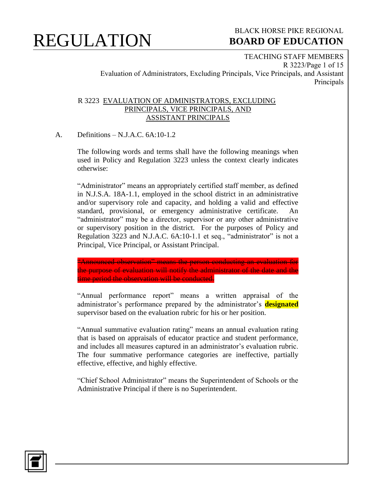

### BLACK HORSE PIKE REGIONAL  **BOARD OF EDUCATION**

TEACHING STAFF MEMBERS R 3223/Page 1 of 15 Evaluation of Administrators, Excluding Principals, Vice Principals, and Assistant Principals

#### R 3223 EVALUATION OF ADMINISTRATORS, EXCLUDING PRINCIPALS, VICE PRINCIPALS, AND ASSISTANT PRINCIPALS

A. Definitions – N.J.A.C. 6A:10-1.2

The following words and terms shall have the following meanings when used in Policy and Regulation 3223 unless the context clearly indicates otherwise:

"Administrator" means an appropriately certified staff member, as defined in N.J.S.A. 18A-1.1, employed in the school district in an administrative and/or supervisory role and capacity, and holding a valid and effective standard, provisional, or emergency administrative certificate. An "administrator" may be a director, supervisor or any other administrative or supervisory position in the district. For the purposes of Policy and Regulation 3223 and N.J.A.C. 6A:10-1.1 et seq., "administrator" is not a Principal, Vice Principal, or Assistant Principal.

"Announced observation" means the person conducting an evaluation for the purpose of evaluation will notify the administrator of the date and the time period the observation will be conducted.

"Annual performance report" means a written appraisal of the administrator's performance prepared by the administrator's **designated** supervisor based on the evaluation rubric for his or her position.

"Annual summative evaluation rating" means an annual evaluation rating that is based on appraisals of educator practice and student performance, and includes all measures captured in an administrator's evaluation rubric. The four summative performance categories are ineffective, partially effective, effective, and highly effective.

"Chief School Administrator" means the Superintendent of Schools or the Administrative Principal if there is no Superintendent.

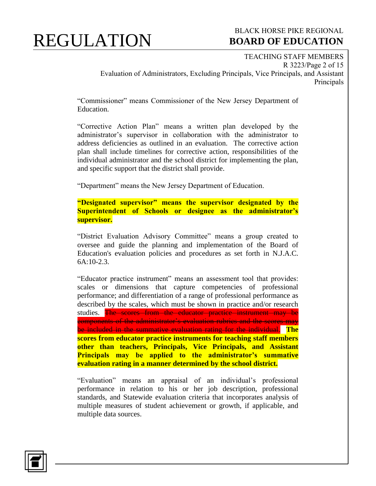#### BLACK HORSE PIKE REGIONAL  **BOARD OF EDUCATION**

TEACHING STAFF MEMBERS R 3223/Page 2 of 15 Evaluation of Administrators, Excluding Principals, Vice Principals, and Assistant Principals

"Commissioner" means Commissioner of the New Jersey Department of Education.

"Corrective Action Plan" means a written plan developed by the administrator's supervisor in collaboration with the administrator to address deficiencies as outlined in an evaluation. The corrective action plan shall include timelines for corrective action, responsibilities of the individual administrator and the school district for implementing the plan, and specific support that the district shall provide.

"Department" means the New Jersey Department of Education.

**"Designated supervisor" means the supervisor designated by the Superintendent of Schools or designee as the administrator's supervisor.** 

"District Evaluation Advisory Committee" means a group created to oversee and guide the planning and implementation of the Board of Education's evaluation policies and procedures as set forth in N.J.A.C. 6A:10-2.3.

"Educator practice instrument" means an assessment tool that provides: scales or dimensions that capture competencies of professional performance; and differentiation of a range of professional performance as described by the scales, which must be shown in practice and/or research studies. The scores from the educator practice instrument may be components of the administrator's evaluation rubrics and the scores may be included in the summative evaluation rating for the individual. **The scores from educator practice instruments for teaching staff members other than teachers, Principals, Vice Principals, and Assistant Principals may be applied to the administrator's summative evaluation rating in a manner determined by the school district.**

"Evaluation" means an appraisal of an individual's professional performance in relation to his or her job description, professional standards, and Statewide evaluation criteria that incorporates analysis of multiple measures of student achievement or growth, if applicable, and multiple data sources.

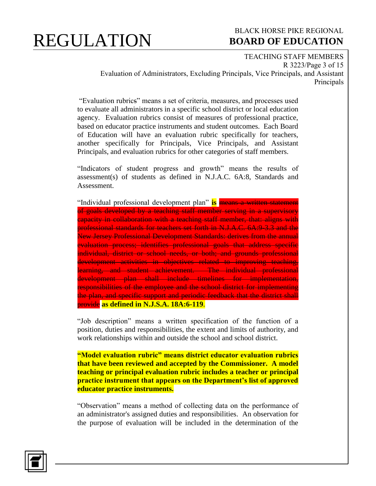#### BLACK HORSE PIKE REGIONAL  **BOARD OF EDUCATION**

TEACHING STAFF MEMBERS R 3223/Page 3 of 15 Evaluation of Administrators, Excluding Principals, Vice Principals, and Assistant Principals

"Evaluation rubrics" means a set of criteria, measures, and processes used to evaluate all administrators in a specific school district or local education agency. Evaluation rubrics consist of measures of professional practice, based on educator practice instruments and student outcomes. Each Board of Education will have an evaluation rubric specifically for teachers, another specifically for Principals, Vice Principals, and Assistant Principals, and evaluation rubrics for other categories of staff members.

"Indicators of student progress and growth" means the results of assessment(s) of students as defined in N.J.A.C. 6A:8, Standards and Assessment.

"Individual professional development plan" **is** means a written statement of goals developed by a teaching staff member serving in a supervisory capacity in collaboration with a teaching staff member, that: aligns with professional standards for teachers set forth in N.J.A.C. 6A:9-3.3 and the New Jersey Professional Development Standards: derives from the annual evaluation process; identifies professional goals that address specific individual, district or school needs, or both; and grounds professional development activities in objectives related to improving teaching, learning, and student achievement. The individual professional development plan shall include timelines for implementation, responsibilities of the employee and the school district for implementing the plan, and specific support and periodic feedback that the district shall provide **as defined in N.J.S.A. 18A:6-119**.

"Job description" means a written specification of the function of a position, duties and responsibilities, the extent and limits of authority, and work relationships within and outside the school and school district.

**"Model evaluation rubric" means district educator evaluation rubrics that have been reviewed and accepted by the Commissioner. A model teaching or principal evaluation rubric includes a teacher or principal practice instrument that appears on the Department's list of approved educator practice instruments.** 

"Observation" means a method of collecting data on the performance of an administrator's assigned duties and responsibilities. An observation for the purpose of evaluation will be included in the determination of the

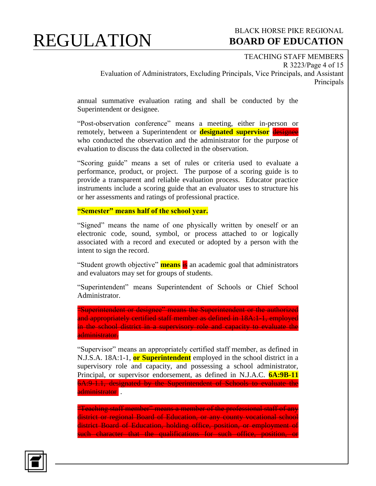#### BLACK HORSE PIKE REGIONAL  **BOARD OF EDUCATION**

TEACHING STAFF MEMBERS R 3223/Page 4 of 15 Evaluation of Administrators, Excluding Principals, Vice Principals, and Assistant Principals

annual summative evaluation rating and shall be conducted by the Superintendent or designee.

"Post-observation conference" means a meeting, either in-person or remotely, between a Superintendent or **designated supervisor** designee who conducted the observation and the administrator for the purpose of evaluation to discuss the data collected in the observation.

"Scoring guide" means a set of rules or criteria used to evaluate a performance, product, or project. The purpose of a scoring guide is to provide a transparent and reliable evaluation process. Educator practice instruments include a scoring guide that an evaluator uses to structure his or her assessments and ratings of professional practice.

**"Semester" means half of the school year.**

"Signed" means the name of one physically written by oneself or an electronic code, sound, symbol, or process attached to or logically associated with a record and executed or adopted by a person with the intent to sign the record.

"Student growth objective" **means** is an academic goal that administrators and evaluators may set for groups of students.

"Superintendent" means Superintendent of Schools or Chief School Administrator.

"Superintendent or designee" means the Superintendent or the authorized and appropriately certified staff member as defined in 18A:1-1, employed in the school district in a supervisory role and capacity to evaluate the administrator.

"Supervisor" means an appropriately certified staff member, as defined in N.J.S.A. 18A:1-1, **or Superintendent** employed in the school district in a supervisory role and capacity, and possessing a school administrator, Principal, or supervisor endorsement, as defined in N.J.A.C. **6A:9B-11** 6A:9-1.1, designated by the Superintendent of Schools to evaluate the administrator .

"Teaching staff member" means a member of the professional staff of any district or regional Board of Education, or any county vocational school district Board of Education, holding office, position, or employment of such character that the qualifications for such office, position, or

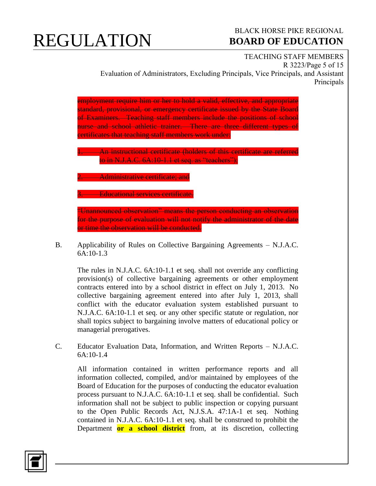### BLACK HORSE PIKE REGIONAL  **BOARD OF EDUCATION**

#### TEACHING STAFF MEMBERS

R 3223/Page 5 of 15 Evaluation of Administrators, Excluding Principals, Vice Principals, and Assistant Principals

employment require him or her to hold a valid, effective, and appropriate standard, provisional, or emergency certificate issued by the State Board of Examiners. Teaching staff members include the positions of school nurse and school athletic trainer. There are three different types of certificates that teaching staff members work under:

An instructional certificate (holders of this certificate are referred to in N.J.A.C. 6A:10-1.1 et seq. as "teachers");

**2. Administrative certificate; and** 

. Educational services certificate.

"Unannounced observation" means the person conducting an observation for the purpose of evaluation will not notify the administrator of the date or time the observation will be conducted.

B. Applicability of Rules on Collective Bargaining Agreements – N.J.A.C. 6A:10-1.3

The rules in N.J.A.C. 6A:10-1.1 et seq. shall not override any conflicting provision(s) of collective bargaining agreements or other employment contracts entered into by a school district in effect on July 1, 2013. No collective bargaining agreement entered into after July 1, 2013, shall conflict with the educator evaluation system established pursuant to N.J.A.C. 6A:10-1.1 et seq. or any other specific statute or regulation, nor shall topics subject to bargaining involve matters of educational policy or managerial prerogatives.

C. Educator Evaluation Data, Information, and Written Reports – N.J.A.C.  $6A:10-1.4$ 

All information contained in written performance reports and all information collected, compiled, and/or maintained by employees of the Board of Education for the purposes of conducting the educator evaluation process pursuant to N.J.A.C. 6A:10-1.1 et seq. shall be confidential. Such information shall not be subject to public inspection or copying pursuant to the Open Public Records Act, N.J.S.A. 47:1A-1 et seq. Nothing contained in N.J.A.C. 6A:10-1.1 et seq. shall be construed to prohibit the Department **or a school district** from, at its discretion, collecting

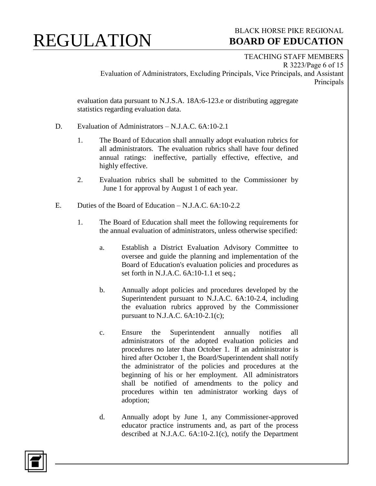### BLACK HORSE PIKE REGIONAL  **BOARD OF EDUCATION**

TEACHING STAFF MEMBERS R 3223/Page 6 of 15 Evaluation of Administrators, Excluding Principals, Vice Principals, and Assistant Principals

evaluation data pursuant to N.J.S.A. 18A:6-123.e or distributing aggregate statistics regarding evaluation data.

- D. Evaluation of Administrators N.J.A.C. 6A:10-2.1
	- 1. The Board of Education shall annually adopt evaluation rubrics for all administrators. The evaluation rubrics shall have four defined annual ratings: ineffective, partially effective, effective, and highly effective.
	- 2. Evaluation rubrics shall be submitted to the Commissioner by June 1 for approval by August 1 of each year.
- E. Duties of the Board of Education N.J.A.C. 6A:10-2.2
	- 1. The Board of Education shall meet the following requirements for the annual evaluation of administrators, unless otherwise specified:
		- a. Establish a District Evaluation Advisory Committee to oversee and guide the planning and implementation of the Board of Education's evaluation policies and procedures as set forth in N.J.A.C. 6A:10-1.1 et seq.;
		- b. Annually adopt policies and procedures developed by the Superintendent pursuant to N.J.A.C. 6A:10-2.4, including the evaluation rubrics approved by the Commissioner pursuant to N.J.A.C.  $6A:10-2.1(c)$ ;
		- c. Ensure the Superintendent annually notifies all administrators of the adopted evaluation policies and procedures no later than October 1. If an administrator is hired after October 1, the Board/Superintendent shall notify the administrator of the policies and procedures at the beginning of his or her employment. All administrators shall be notified of amendments to the policy and procedures within ten administrator working days of adoption;
		- d. Annually adopt by June 1, any Commissioner-approved educator practice instruments and, as part of the process described at N.J.A.C. 6A:10-2.1(c), notify the Department

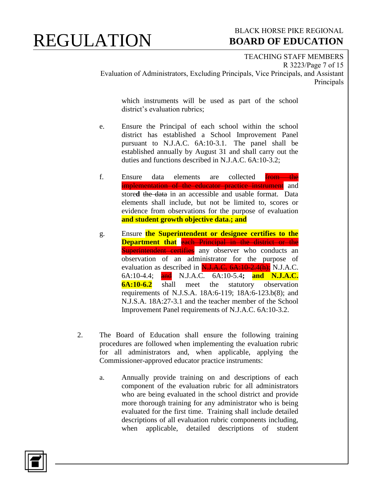### BLACK HORSE PIKE REGIONAL  **BOARD OF EDUCATION**

TEACHING STAFF MEMBERS R 3223/Page 7 of 15 Evaluation of Administrators, Excluding Principals, Vice Principals, and Assistant Principals

which instruments will be used as part of the school district's evaluation rubrics;

- e. Ensure the Principal of each school within the school district has established a School Improvement Panel pursuant to N.J.A.C. 6A:10-3.1. The panel shall be established annually by August 31 and shall carry out the duties and functions described in N.J.A.C. 6A:10-3.2;
- f. Ensure data elements are collected **from the** implementation of the educator practice instrument and store**d** the data in an accessible and usable format. Data elements shall include, but not be limited to, scores or evidence from observations for the purpose of evaluation **and student growth objective data**.**; and**
- g. Ensure **the Superintendent or designee certifies to the Department that** each Principal in the district or the Superintendent certifies any observer who conducts an observation of an administrator for the purpose of evaluation as described in  $\overline{N_{1.1}A_{2.6}}$ .  $\overline{6A_{1.10}}$ ,  $\overline{2.4(h)}$ ; N.J.A.C. 6A:10-4.4; and N.J.A.C. 6A:10-5.4**; and N.J.A.C. 6A:10-6.2** shall meet the statutory observation requirements of N.J.S.A. 18A:6-119; 18A:6-123.b(8); and N.J.S.A. 18A:27-3.1 and the teacher member of the School Improvement Panel requirements of N.J.A.C. 6A:10-3.2.
- 2. The Board of Education shall ensure the following training procedures are followed when implementing the evaluation rubric for all administrators and, when applicable, applying the Commissioner-approved educator practice instruments:
	- a. Annually provide training on and descriptions of each component of the evaluation rubric for all administrators who are being evaluated in the school district and provide more thorough training for any administrator who is being evaluated for the first time. Training shall include detailed descriptions of all evaluation rubric components including, when applicable, detailed descriptions of student

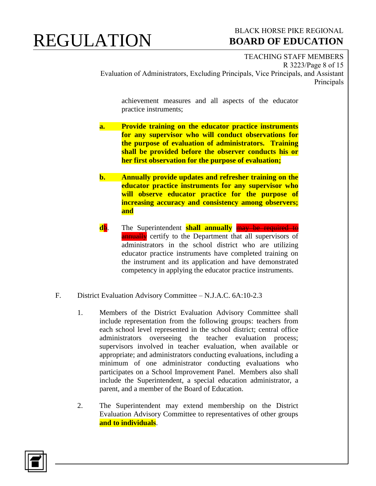### BLACK HORSE PIKE REGIONAL  **BOARD OF EDUCATION**

TEACHING STAFF MEMBERS R 3223/Page 8 of 15 Evaluation of Administrators, Excluding Principals, Vice Principals, and Assistant Principals

achievement measures and all aspects of the educator practice instruments;

- **a. Provide training on the educator practice instruments for any supervisor who will conduct observations for the purpose of evaluation of administrators. Training shall be provided before the observer conducts his or her first observation for the purpose of evaluation;**
- **b. Annually provide updates and refresher training on the educator practice instruments for any supervisor who will observe educator practice for the purpose of increasing accuracy and consistency among observers; and**
- **d**b. The Superintendent **shall annually** may be required to **annually** certify to the Department that all supervisors of administrators in the school district who are utilizing educator practice instruments have completed training on the instrument and its application and have demonstrated competency in applying the educator practice instruments.
- F. District Evaluation Advisory Committee N.J.A.C. 6A:10-2.3
	- 1. Members of the District Evaluation Advisory Committee shall include representation from the following groups: teachers from each school level represented in the school district; central office administrators overseeing the teacher evaluation process; supervisors involved in teacher evaluation, when available or appropriate; and administrators conducting evaluations, including a minimum of one administrator conducting evaluations who participates on a School Improvement Panel. Members also shall include the Superintendent, a special education administrator, a parent, and a member of the Board of Education.
	- 2. The Superintendent may extend membership on the District Evaluation Advisory Committee to representatives of other groups **and to individuals**.

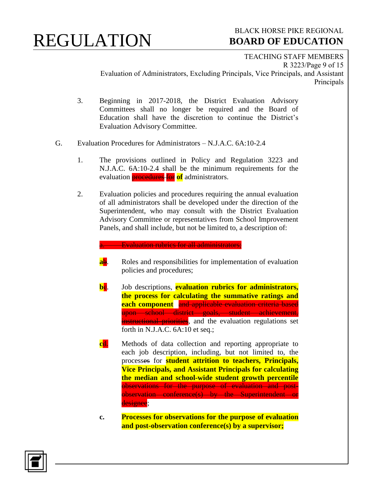### BLACK HORSE PIKE REGIONAL  **BOARD OF EDUCATION**

TEACHING STAFF MEMBERS R 3223/Page 9 of 15 Evaluation of Administrators, Excluding Principals, Vice Principals, and Assistant Principals

- 3. Beginning in 2017-2018, the District Evaluation Advisory Committees shall no longer be required and the Board of Education shall have the discretion to continue the District's Evaluation Advisory Committee.
- G. Evaluation Procedures for Administrators N.J.A.C. 6A:10-2.4
	- 1. The provisions outlined in Policy and Regulation 3223 and N.J.A.C. 6A:10-2.4 shall be the minimum requirements for the evaluation procedures for **of** administrators.
	- 2. Evaluation policies and procedures requiring the annual evaluation of all administrators shall be developed under the direction of the Superintendent, who may consult with the District Evaluation Advisory Committee or representatives from School Improvement Panels, and shall include, but not be limited to, a description of:

#### a. Evaluation rubrics for all administrators;

- **ab.** Roles and responsibilities for implementation of evaluation policies and procedures;
- **be.** Job descriptions, **evaluation rubrics for administrators, the process for calculating the summative ratings and each component** and applicable evaluation criteria based upon school district goals, student achievement, **instructional priorities**, and the evaluation regulations set forth in N.J.A.C. 6A:10 et seq.;
- **c**d. Methods of data collection and reporting appropriate to each job description, including, but not limited to, the processes for **student attrition to teachers, Principals, Vice Principals, and Assistant Principals for calculating the median and school-wide student growth percentile** observations for the purpose of evaluation and postobservation conference(s) by the Superintendent or designee;
- **c. Processes for observations for the purpose of evaluation and post-observation conference(s) by a supervisor;**

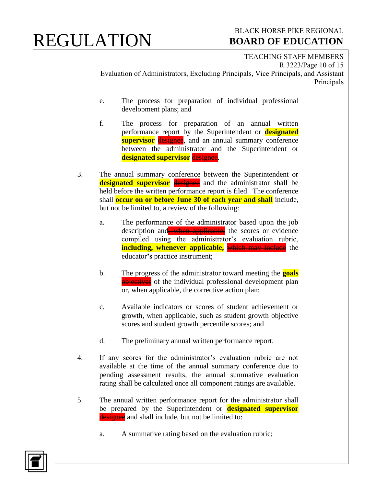### BLACK HORSE PIKE REGIONAL  **BOARD OF EDUCATION**

TEACHING STAFF MEMBERS R 3223/Page 10 of 15 Evaluation of Administrators, Excluding Principals, Vice Principals, and Assistant Principals

- e. The process for preparation of individual professional development plans; and
- f. The process for preparation of an annual written performance report by the Superintendent or **designated supervisor** designee, and an annual summary conference between the administrator and the Superintendent or **designated supervisor** designee.
- 3. The annual summary conference between the Superintendent or **designated supervisor** designee and the administrator shall be held before the written performance report is filed. The conference shall **occur on or before June 30 of each year and shall** include, but not be limited to, a review of the following:
	- a. The performance of the administrator based upon the job description and when applicable, the scores or evidence compiled using the administrator's evaluation rubric, **including, whenever applicable,** which may include the educator**'s** practice instrument;
	- b. The progress of the administrator toward meeting the **goals** objectives of the individual professional development plan or, when applicable, the corrective action plan;
	- c. Available indicators or scores of student achievement or growth, when applicable, such as student growth objective scores and student growth percentile scores; and
	- d. The preliminary annual written performance report.
- 4. If any scores for the administrator's evaluation rubric are not available at the time of the annual summary conference due to pending assessment results, the annual summative evaluation rating shall be calculated once all component ratings are available.
- 5. The annual written performance report for the administrator shall be prepared by the Superintendent or **designated supervisor** designee and shall include, but not be limited to:
	- a. A summative rating based on the evaluation rubric;

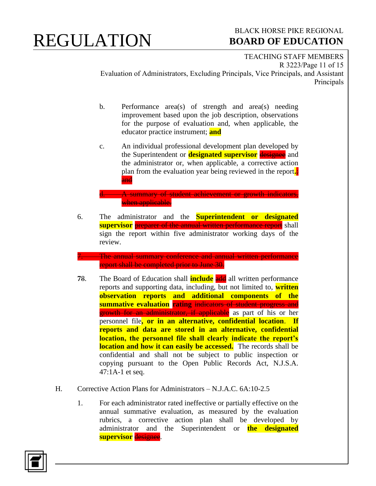### BLACK HORSE PIKE REGIONAL  **BOARD OF EDUCATION**

TEACHING STAFF MEMBERS R 3223/Page 11 of 15 Evaluation of Administrators, Excluding Principals, Vice Principals, and Assistant Principals

- b. Performance area(s) of strength and area(s) needing improvement based upon the job description, observations for the purpose of evaluation and, when applicable, the educator practice instrument; **and**
- c. An individual professional development plan developed by the Superintendent or **designated supervisor** designee and the administrator or, when applicable, a corrective action plan from the evaluation year being reviewed in the report**.**; and

d. A summary of student achievement or growth indicators, when applicable.

6. The administrator and the **Superintendent or designated supervisor** preparer of the annual written performance report shall sign the report within five administrator working days of the review.

7. The annual summary conference and annual written performance report shall be completed prior to June 30.

- **78.** The Board of Education shall **include** and all written performance reports and supporting data, including, but not limited to, **written observation reports and additional components of the summative evaluation rating** indicators of student progress and **growth for an administrator, if applicable** as part of his or her personnel file**, or in an alternative, confidential location**. **If reports and data are stored in an alternative, confidential location, the personnel file shall clearly indicate the report's location and how it can easily be accessed.** The records shall be confidential and shall not be subject to public inspection or copying pursuant to the Open Public Records Act, N.J.S.A. 47:1A-1 et seq.
- H. Corrective Action Plans for Administrators N.J.A.C. 6A:10-2.5
	- 1. For each administrator rated ineffective or partially effective on the annual summative evaluation, as measured by the evaluation rubrics, a corrective action plan shall be developed by administrator and the Superintendent or **the designated supervisor** designee.

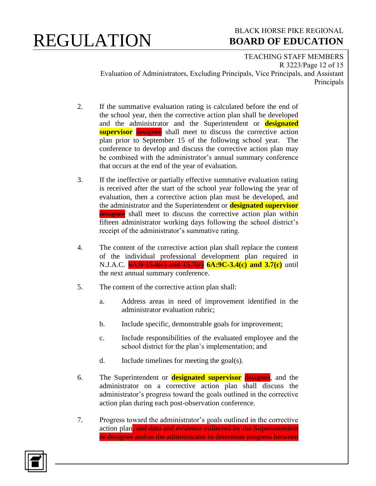### BLACK HORSE PIKE REGIONAL  **BOARD OF EDUCATION**

TEACHING STAFF MEMBERS R 3223/Page 12 of 15 Evaluation of Administrators, Excluding Principals, Vice Principals, and Assistant Principals

- 2. If the summative evaluation rating is calculated before the end of the school year, then the corrective action plan shall be developed and the administrator and the Superintendent or **designated supervisor** designee shall meet to discuss the corrective action plan prior to September 15 of the following school year. The conference to develop and discuss the corrective action plan may be combined with the administrator's annual summary conference that occurs at the end of the year of evaluation.
- 3. If the ineffective or partially effective summative evaluation rating is received after the start of the school year following the year of evaluation, then a corrective action plan must be developed, and the administrator and the Superintendent or **designated supervisor** designee shall meet to discuss the corrective action plan within fifteen administrator working days following the school district's receipt of the administrator's summative rating.
- 4. The content of the corrective action plan shall replace the content of the individual professional development plan required in N.J.A.C.  $6A:9-15.4(e)$  and  $15.7(e)$   $6A:9C-3.4(c)$  and  $3.7(e)$  until the next annual summary conference.
- 5. The content of the corrective action plan shall:
	- a. Address areas in need of improvement identified in the administrator evaluation rubric;
	- b. Include specific, demonstrable goals for improvement;
	- c. Include responsibilities of the evaluated employee and the school district for the plan's implementation; and
	- d. Include timelines for meeting the goal(s).
- 6. The Superintendent or **designated supervisor** designee, and the administrator on a corrective action plan shall discuss the administrator's progress toward the goals outlined in the corrective action plan during each post-observation conference.
- 7. Progress toward the administrator's goals outlined in the corrective action plan, and data and evidence collected by the Superintendent or designee and/or the administrator to determine progress between

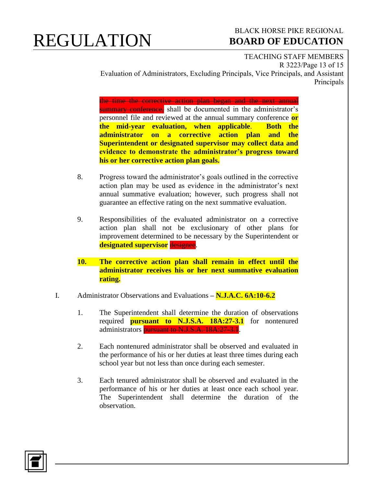#### BLACK HORSE PIKE REGIONAL  **BOARD OF EDUCATION**

TEACHING STAFF MEMBERS R 3223/Page 13 of 15 Evaluation of Administrators, Excluding Principals, Vice Principals, and Assistant Principals

the time the corrective action plan began and the next annual summary conference, shall be documented in the administrator's personnel file and reviewed at the annual summary conference **or the mid-year evaluation, when applicable**. **Both the administrator on a corrective action plan and the Superintendent or designated supervisor may collect data and evidence to demonstrate the administrator's progress toward his or her corrective action plan goals.**

- 8. Progress toward the administrator's goals outlined in the corrective action plan may be used as evidence in the administrator's next annual summative evaluation; however, such progress shall not guarantee an effective rating on the next summative evaluation.
- 9. Responsibilities of the evaluated administrator on a corrective action plan shall not be exclusionary of other plans for improvement determined to be necessary by the Superintendent or **designated supervisor** designee.
- **10. The corrective action plan shall remain in effect until the administrator receives his or her next summative evaluation rating.**
- I. Administrator Observations and Evaluations **– N.J.A.C. 6A:10-6.2**
	- 1. The Superintendent shall determine the duration of observations required **pursuant to N.J.S.A. 18A:27-3.1** for nontenured administrators pursuant to N.J.S.A. 18A:27-3.1.
	- 2. Each nontenured administrator shall be observed and evaluated in the performance of his or her duties at least three times during each school year but not less than once during each semester.
	- 3. Each tenured administrator shall be observed and evaluated in the performance of his or her duties at least once each school year. The Superintendent shall determine the duration of the observation.

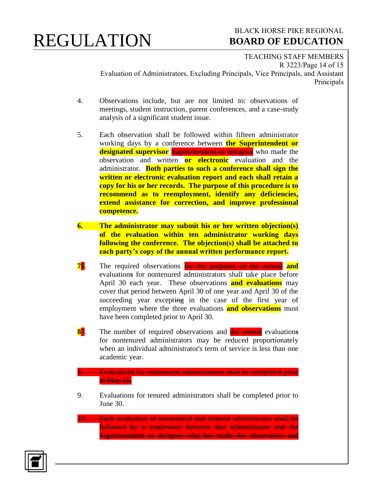### BLACK HORSE PIKE REGIONAL  **BOARD OF EDUCATION**

TEACHING STAFF MEMBERS R 3223/Page 14 of 15 Evaluation of Administrators, Excluding Principals, Vice Principals, and Assistant Principals

- 4. Observations include, but are not limited to: observations of meetings, student instruction, parent conferences, and a case-study analysis of a significant student issue.
- 5. Each observation shall be followed within fifteen administrator working days by a conference between **the Superintendent or designated supervisor** Superintendent or designee who made the observation and written **or electronic** evaluation and the administrator. **Both parties to such a conference shall sign the written or electronic evaluation report and each shall retain a copy for his or her records. The purpose of this procedure is to recommend as to reemployment, identify any deficiencies, extend assistance for correction, and improve professional competence.**
- **6. The administrator may submit his or her written objection(s) of the evaluation within ten administrator working days following the conference. The objection(s) shall be attached to each party's copy of the annual written performance report.**
- **7**6. The required observations for the purposes of the annual **and** evaluation**s** for nontenured administrators shall take place before April 30 each year. These observations **and evaluations** may cover that period between April 30 of one year and April 30 of the succeeding year excepting in the case of the first year of employment where the three evaluations **and observations** must have been completed prior to April 30.
- **8**7. The number of required observations and the annual evaluation**s** for nontenured administrators may be reduced proportionately when an individual administrator's term of service is less than one academic year.

#### 8. Evaluations for nontenured administrators shall be completed prior to May 15.

- 9. Evaluations for tenured administrators shall be completed prior to June 30.
- 10. Each evaluation of nontenured and tenured administrator shall be followed by a conference between that administrator and the Superintendent or designee who has made the observation and